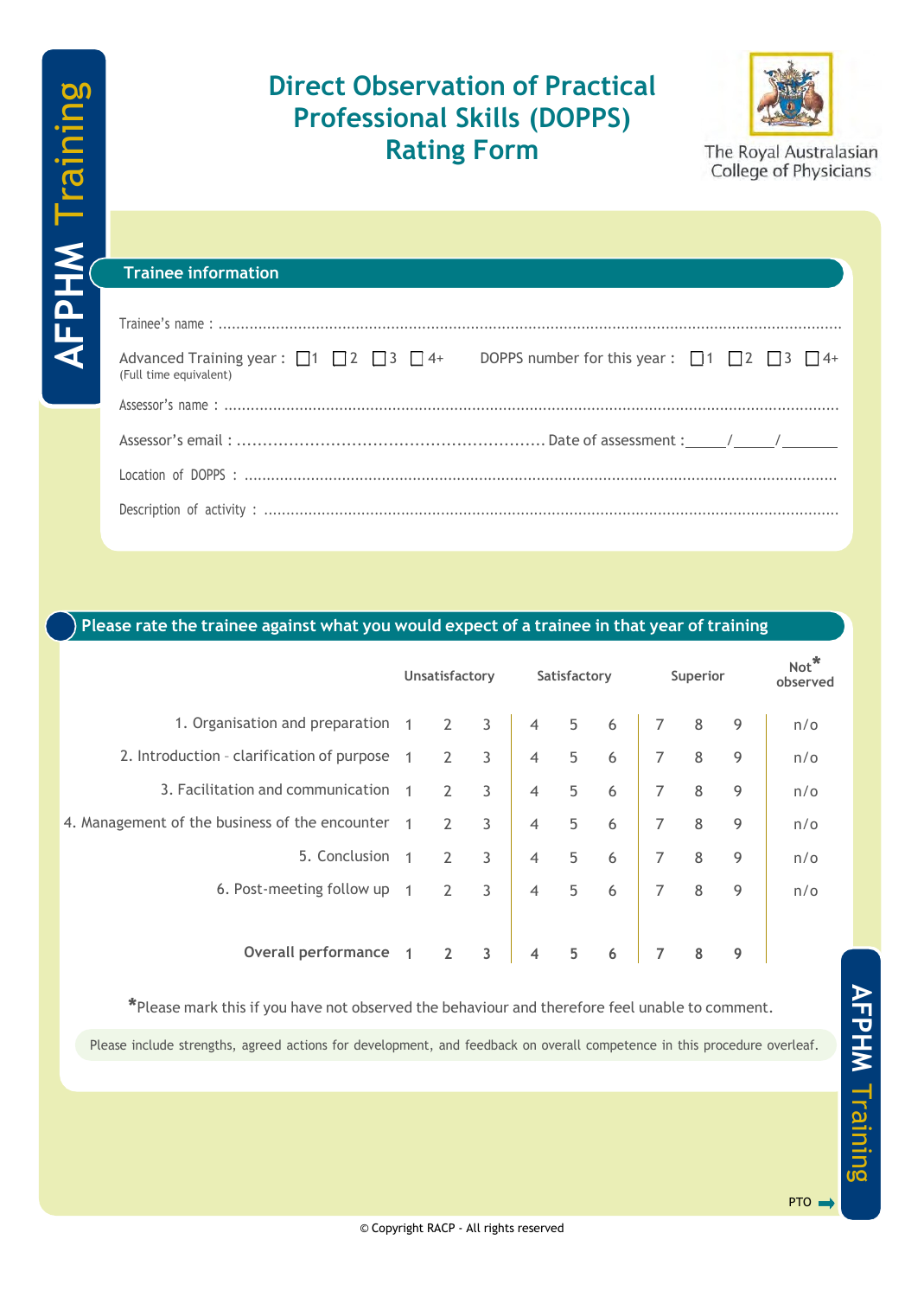# **Direct Observation of Practical Professional Skills (DOPPS) Rating Form**



The Royal Australasian College of Physicians

#### **Trainee information**

| (Full time equivalent) | Advanced Training year: $\Box$ 1 $\Box$ 2 $\Box$ 3 $\Box$ 4+ DOPPS number for this year: $\Box$ 1 $\Box$ 2 $\Box$ 3 $\Box$ 4+ |
|------------------------|-------------------------------------------------------------------------------------------------------------------------------|
|                        |                                                                                                                               |
|                        |                                                                                                                               |
|                        |                                                                                                                               |
|                        |                                                                                                                               |

## **Please rate the trainee against what you would expect of a trainee in that year of training**

|                                                | Unsatisfactory |                | Satisfactory |                |   | Superior |   |   | Not*<br>observed |            |
|------------------------------------------------|----------------|----------------|--------------|----------------|---|----------|---|---|------------------|------------|
| 1. Organisation and preparation                | $\overline{1}$ | $\overline{2}$ | 3            | $\overline{4}$ | 5 | 6        |   | 8 | 9                | $n/\sigma$ |
| 2. Introduction - clarification of purpose     | $\overline{1}$ | $\overline{2}$ | 3            | $\overline{4}$ | 5 | 6        | 7 | 8 | 9                | $n/\sigma$ |
| 3. Facilitation and communication              |                | 2              | 3            | $\overline{4}$ | 5 | 6        | 7 | 8 | 9                | $n/\sigma$ |
| 4. Management of the business of the encounter |                | 2              | 3            | $\overline{4}$ | 5 | 6        | 7 | 8 | 9                | $n/\sigma$ |
| 5. Conclusion                                  |                | $\overline{2}$ | 3            | $\overline{4}$ | 5 | 6        | 7 | 8 | 9                | n/o        |
| 6. Post-meeting follow up                      |                | 2              | 3            | $\overline{4}$ | 5 | 6        | 7 | 8 | 9                | n/o        |
|                                                |                |                |              |                |   |          |   |   |                  |            |
| <b>Overall performance</b>                     |                |                | 3            | 4              | 5 | 6        |   | 8 | 9                |            |

**\***Please mark this if you have not observed the behaviour and therefore feel unable to comment.

Please include strengths, agreed actions for development, and feedback on overall competence in this procedure overleaf.